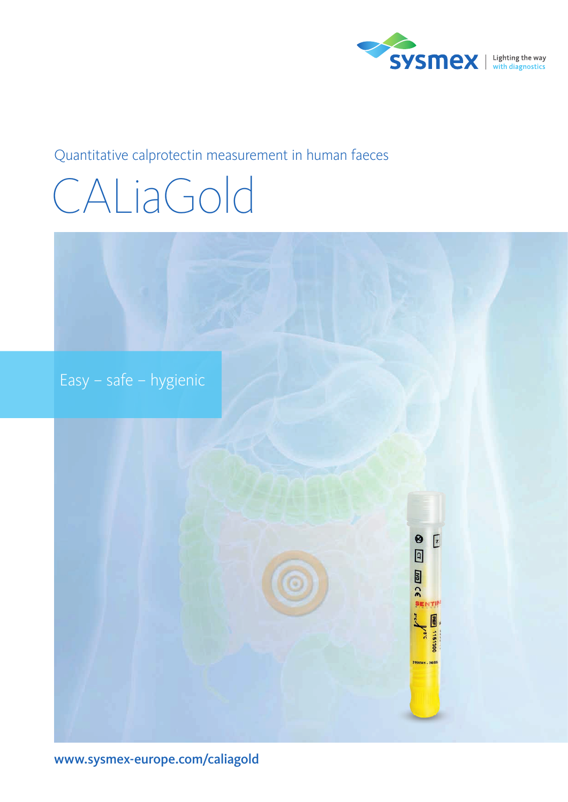

### Quantitative calprotectin measurement in human faeces

# CALiaGold

Easy – safe – hygienic



[www.sysmex-europe.com/caliagold](https://www.sysmex-europe.com/caliagold)